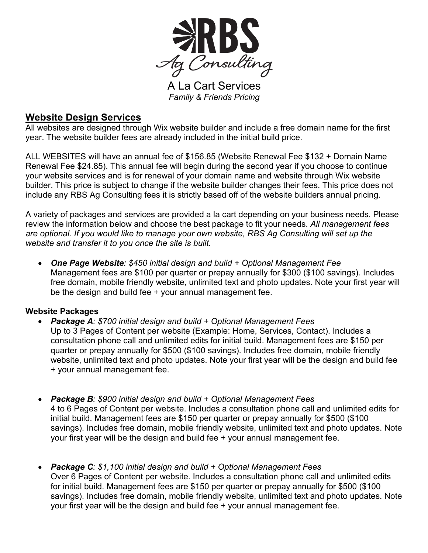

A La Cart Services *Family & Friends Pricing*

# **Website Design Services**

All websites are designed through Wix website builder and include a free domain name for the first year. The website builder fees are already included in the initial build price.

ALL WEBSITES will have an annual fee of \$156.85 (Website Renewal Fee \$132 + Domain Name Renewal Fee \$24.85). This annual fee will begin during the second year if you choose to continue your website services and is for renewal of your domain name and website through Wix website builder. This price is subject to change if the website builder changes their fees. This price does not include any RBS Ag Consulting fees it is strictly based off of the website builders annual pricing.

A variety of packages and services are provided a la cart depending on your business needs. Please review the information below and choose the best package to fit your needs. *All management fees are optional. If you would like to manage your own website, RBS Ag Consulting will set up the website and transfer it to you once the site is built.*

• *One Page Website: \$450 initial design and build + Optional Management Fee* Management fees are \$100 per quarter or prepay annually for \$300 (\$100 savings). Includes free domain, mobile friendly website, unlimited text and photo updates. Note your first year will be the design and build fee + your annual management fee.

#### **Website Packages**

- *Package A: \$700 initial design and build + Optional Management Fees* Up to 3 Pages of Content per website (Example: Home, Services, Contact). Includes a consultation phone call and unlimited edits for initial build. Management fees are \$150 per quarter or prepay annually for \$500 (\$100 savings). Includes free domain, mobile friendly website, unlimited text and photo updates. Note your first year will be the design and build fee + your annual management fee.
- *Package B: \$900 initial design and build + Optional Management Fees* 4 to 6 Pages of Content per website. Includes a consultation phone call and unlimited edits for initial build. Management fees are \$150 per quarter or prepay annually for \$500 (\$100 savings). Includes free domain, mobile friendly website, unlimited text and photo updates. Note your first year will be the design and build fee + your annual management fee.
- *Package C: \$1,100 initial design and build + Optional Management Fees* Over 6 Pages of Content per website. Includes a consultation phone call and unlimited edits for initial build. Management fees are \$150 per quarter or prepay annually for \$500 (\$100 savings). Includes free domain, mobile friendly website, unlimited text and photo updates. Note your first year will be the design and build fee + your annual management fee.